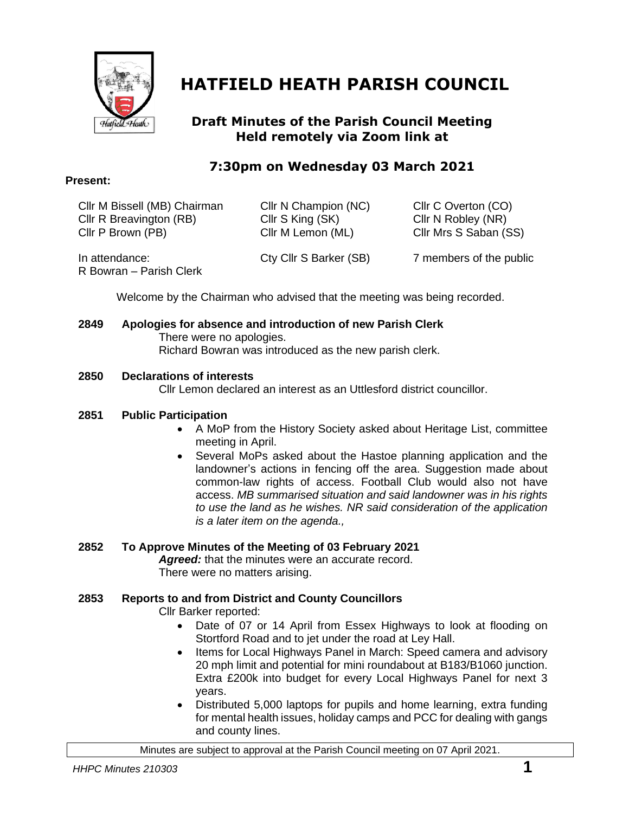

# **HATFIELD HEATH PARISH COUNCIL**

# **Draft Minutes of the Parish Council Meeting Held remotely via Zoom link at**

# **7:30pm on Wednesday 03 March 2021**

|  | Cllr M Bissell (MB) Ch |  |
|--|------------------------|--|
|  |                        |  |

hairman Cllr N Champion (NC) Cllr C Overton (CO) Cllr R Breavington (RB) Cllr S King (SK) Cllr N Robley (NR) Cllr P Brown (PB) Cllr M Lemon (ML) Cllr Mrs S Saban (SS)

In attendance: Cty Cllr S Barker (SB) 7 members of the public R Bowran – Parish Clerk

Welcome by the Chairman who advised that the meeting was being recorded.

**2849 Apologies for absence and introduction of new Parish Clerk** There were no apologies. Richard Bowran was introduced as the new parish clerk.

# **2850 Declarations of interests**

Cllr Lemon declared an interest as an Uttlesford district councillor.

# **2851 Public Participation**

- A MoP from the History Society asked about Heritage List, committee meeting in April.
- Several MoPs asked about the Hastoe planning application and the landowner's actions in fencing off the area. Suggestion made about common-law rights of access. Football Club would also not have access. *MB summarised situation and said landowner was in his rights to use the land as he wishes. NR said consideration of the application is a later item on the agenda.,*

# **2852 To Approve Minutes of the Meeting of 03 February 2021**

Agreed: that the minutes were an accurate record. There were no matters arising.

# **2853 Reports to and from District and County Councillors**

Cllr Barker reported:

- Date of 07 or 14 April from Essex Highways to look at flooding on Stortford Road and to jet under the road at Ley Hall.
- Items for Local Highways Panel in March: Speed camera and advisory 20 mph limit and potential for mini roundabout at B183/B1060 junction. Extra £200k into budget for every Local Highways Panel for next 3 years.
- Distributed 5,000 laptops for pupils and home learning, extra funding for mental health issues, holiday camps and PCC for dealing with gangs and county lines.

Minutes are subject to approval at the Parish Council meeting on 07 April 2021.

# **Present:**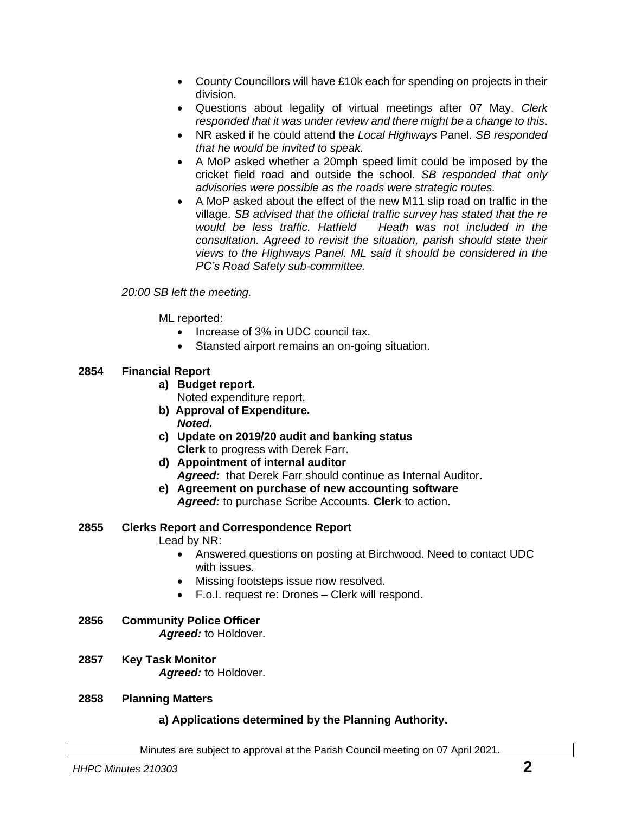- County Councillors will have £10k each for spending on projects in their division.
- Questions about legality of virtual meetings after 07 May. *Clerk responded that it was under review and there might be a change to this*.
- NR asked if he could attend the *Local Highways* Panel. *SB responded that he would be invited to speak.*
- A MoP asked whether a 20mph speed limit could be imposed by the cricket field road and outside the school. *SB responded that only advisories were possible as the roads were strategic routes.*
- A MoP asked about the effect of the new M11 slip road on traffic in the village. *SB advised that the official traffic survey has stated that the re would be less traffic. Hatfield Heath was not included in the consultation. Agreed to revisit the situation, parish should state their views to the Highways Panel. ML said it should be considered in the PC's Road Safety sub-committee.*

#### *20:00 SB left the meeting.*

ML reported:

- Increase of 3% in UDC council tax.
- Stansted airport remains an on-going situation.

# **2854 Financial Report**

**a) Budget report.**

Noted expenditure report.

- **b)****Approval of Expenditure.** *Noted.*
- **c) Update on 2019/20 audit and banking status Clerk** to progress with Derek Farr.
- **d) Appointment of internal auditor** *Agreed:* that Derek Farr should continue as Internal Auditor.
- **e) Agreement on purchase of new accounting software** *Agreed:* to purchase Scribe Accounts. **Clerk** to action.

#### **2855 Clerks Report and Correspondence Report**

Lead by NR:

- Answered questions on posting at Birchwood. Need to contact UDC with issues.
- Missing footsteps issue now resolved.
- F.o.I. request re: Drones Clerk will respond.
- **2856 Community Police Officer** *Agreed:* to Holdover.
- **2857 Key Task Monitor** *Agreed:* to Holdover.

#### **2858 Planning Matters**

# **a) Applications determined by the Planning Authority.**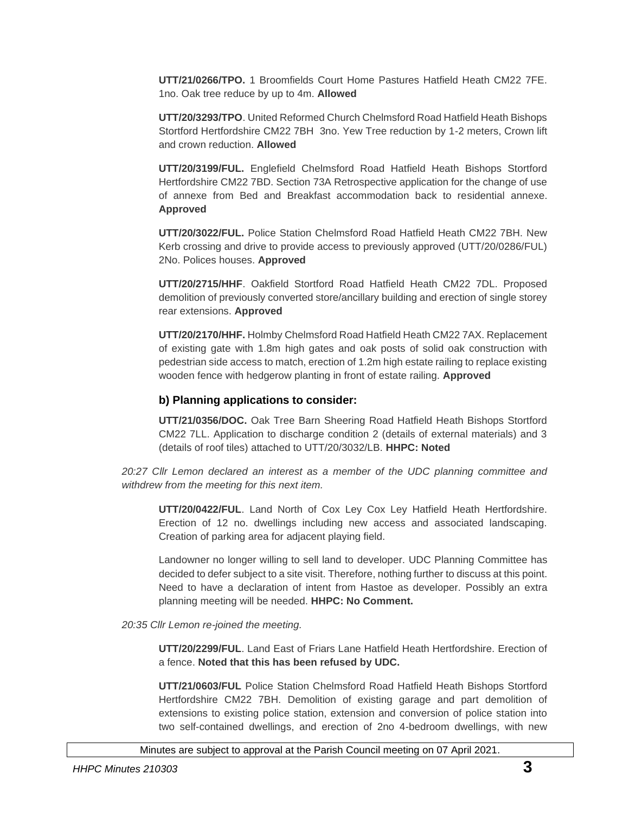**UTT/21/0266/TPO.** 1 Broomfields Court Home Pastures Hatfield Heath CM22 7FE. 1no. Oak tree reduce by up to 4m. **Allowed**

**UTT/20/3293/TPO**. United Reformed Church Chelmsford Road Hatfield Heath Bishops Stortford Hertfordshire CM22 7BH 3no. Yew Tree reduction by 1-2 meters, Crown lift and crown reduction. **Allowed**

**UTT/20/3199/FUL.** Englefield Chelmsford Road Hatfield Heath Bishops Stortford Hertfordshire CM22 7BD. Section 73A Retrospective application for the change of use of annexe from Bed and Breakfast accommodation back to residential annexe. **Approved**

**UTT/20/3022/FUL.** Police Station Chelmsford Road Hatfield Heath CM22 7BH. New Kerb crossing and drive to provide access to previously approved (UTT/20/0286/FUL) 2No. Polices houses. **Approved**

**UTT/20/2715/HHF**. Oakfield Stortford Road Hatfield Heath CM22 7DL. Proposed demolition of previously converted store/ancillary building and erection of single storey rear extensions. **Approved**

**UTT/20/2170/HHF.** Holmby Chelmsford Road Hatfield Heath CM22 7AX. Replacement of existing gate with 1.8m high gates and oak posts of solid oak construction with pedestrian side access to match, erection of 1.2m high estate railing to replace existing wooden fence with hedgerow planting in front of estate railing. **Approved**

#### **b) Planning applications to consider:**

**UTT/21/0356/DOC.** Oak Tree Barn Sheering Road Hatfield Heath Bishops Stortford CM22 7LL. Application to discharge condition 2 (details of external materials) and 3 (details of roof tiles) attached to UTT/20/3032/LB. **HHPC: Noted**

*20:27 Cllr Lemon declared an interest as a member of the UDC planning committee and withdrew from the meeting for this next item.*

**UTT/20/0422/FUL**. Land North of Cox Ley Cox Ley Hatfield Heath Hertfordshire. Erection of 12 no. dwellings including new access and associated landscaping. Creation of parking area for adjacent playing field.

Landowner no longer willing to sell land to developer. UDC Planning Committee has decided to defer subject to a site visit. Therefore, nothing further to discuss at this point. Need to have a declaration of intent from Hastoe as developer. Possibly an extra planning meeting will be needed. **HHPC: No Comment.**

#### *20:35 Cllr Lemon re-joined the meeting.*

**UTT/20/2299/FUL**. Land East of Friars Lane Hatfield Heath Hertfordshire. Erection of a fence. **Noted that this has been refused by UDC.**

**UTT/21/0603/FUL** Police Station Chelmsford Road Hatfield Heath Bishops Stortford Hertfordshire CM22 7BH. Demolition of existing garage and part demolition of extensions to existing police station, extension and conversion of police station into two self-contained dwellings, and erection of 2no 4-bedroom dwellings, with new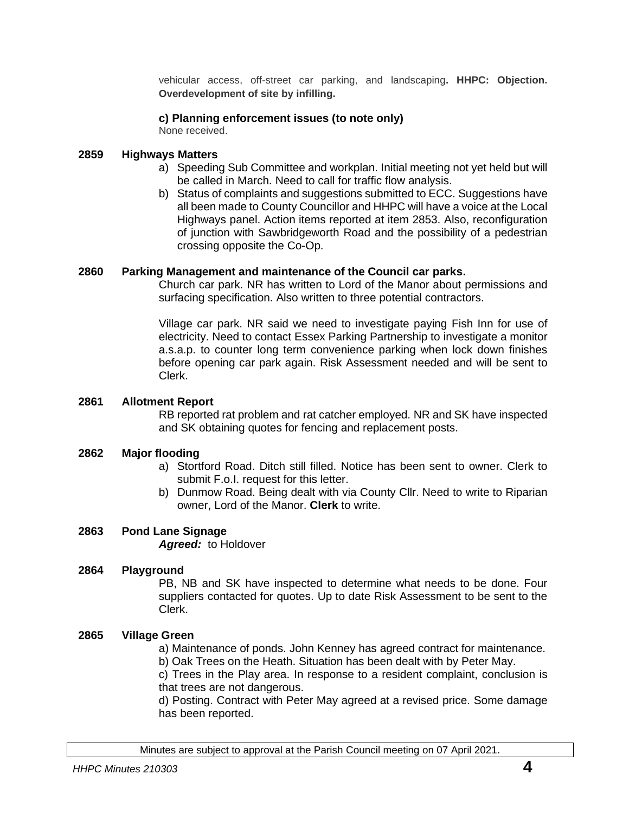vehicular access, off-street car parking, and landscaping**. HHPC: Objection. Overdevelopment of site by infilling.**

#### **c) Planning enforcement issues (to note only)**

None received.

#### **2859 Highways Matters**

- a) Speeding Sub Committee and workplan. Initial meeting not yet held but will be called in March. Need to call for traffic flow analysis.
- b) Status of complaints and suggestions submitted to ECC. Suggestions have all been made to County Councillor and HHPC will have a voice at the Local Highways panel. Action items reported at item 2853. Also, reconfiguration of junction with Sawbridgeworth Road and the possibility of a pedestrian crossing opposite the Co-Op.

#### **2860 Parking Management and maintenance of the Council car parks.**

Church car park. NR has written to Lord of the Manor about permissions and surfacing specification. Also written to three potential contractors.

Village car park. NR said we need to investigate paying Fish Inn for use of electricity. Need to contact Essex Parking Partnership to investigate a monitor a.s.a.p. to counter long term convenience parking when lock down finishes before opening car park again. Risk Assessment needed and will be sent to Clerk.

#### **2861 Allotment Report**

RB reported rat problem and rat catcher employed. NR and SK have inspected and SK obtaining quotes for fencing and replacement posts.

#### **2862 Major flooding**

- a) Stortford Road. Ditch still filled. Notice has been sent to owner. Clerk to submit F.o.I. request for this letter.
- b) Dunmow Road. Being dealt with via County Cllr. Need to write to Riparian owner, Lord of the Manor. **Clerk** to write.

# **2863 Pond Lane Signage**

*Agreed:* to Holdover

#### **2864 Playground**

PB, NB and SK have inspected to determine what needs to be done. Four suppliers contacted for quotes. Up to date Risk Assessment to be sent to the Clerk.

# **2865 Village Green**

a) Maintenance of ponds. John Kenney has agreed contract for maintenance.

b) Oak Trees on the Heath. Situation has been dealt with by Peter May.

c) Trees in the Play area. In response to a resident complaint, conclusion is that trees are not dangerous.

d) Posting. Contract with Peter May agreed at a revised price. Some damage has been reported.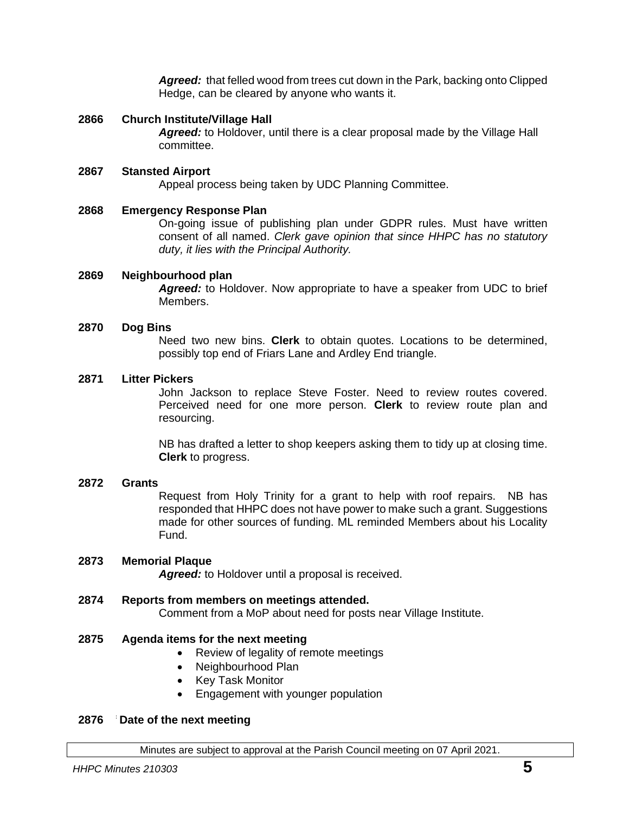*Agreed:* that felled wood from trees cut down in the Park, backing onto Clipped Hedge, can be cleared by anyone who wants it.

#### **2866 Church Institute/Village Hall**

*Agreed:* to Holdover, until there is a clear proposal made by the Village Hall committee.

#### **2867 Stansted Airport**

Appeal process being taken by UDC Planning Committee.

#### **2868 Emergency Response Plan**

On-going issue of publishing plan under GDPR rules. Must have written consent of all named. *Clerk gave opinion that since HHPC has no statutory duty, it lies with the Principal Authority.*

#### **2869 Neighbourhood plan**

*Agreed:* to Holdover. Now appropriate to have a speaker from UDC to brief Members.

#### **2870 Dog Bins**

Need two new bins. **Clerk** to obtain quotes. Locations to be determined, possibly top end of Friars Lane and Ardley End triangle.

#### **2871 Litter Pickers**

John Jackson to replace Steve Foster. Need to review routes covered. Perceived need for one more person. **Clerk** to review route plan and resourcing.

NB has drafted a letter to shop keepers asking them to tidy up at closing time. **Clerk** to progress.

# **2872 Grants**

Request from Holy Trinity for a grant to help with roof repairs. NB has responded that HHPC does not have power to make such a grant. Suggestions made for other sources of funding. ML reminded Members about his Locality Fund.

#### **2873 Memorial Plaque**

*Agreed:* to Holdover until a proposal is received.

# **2874 Reports from members on meetings attended.**

Comment from a MoP about need for posts near Village Institute.

# **2875 Agenda items for the next meeting**

- Review of legality of remote meetings
- Neighbourhood Plan
- Key Task Monitor
- Engagement with younger population

#### **Date of 2876 Date of the next meeting**